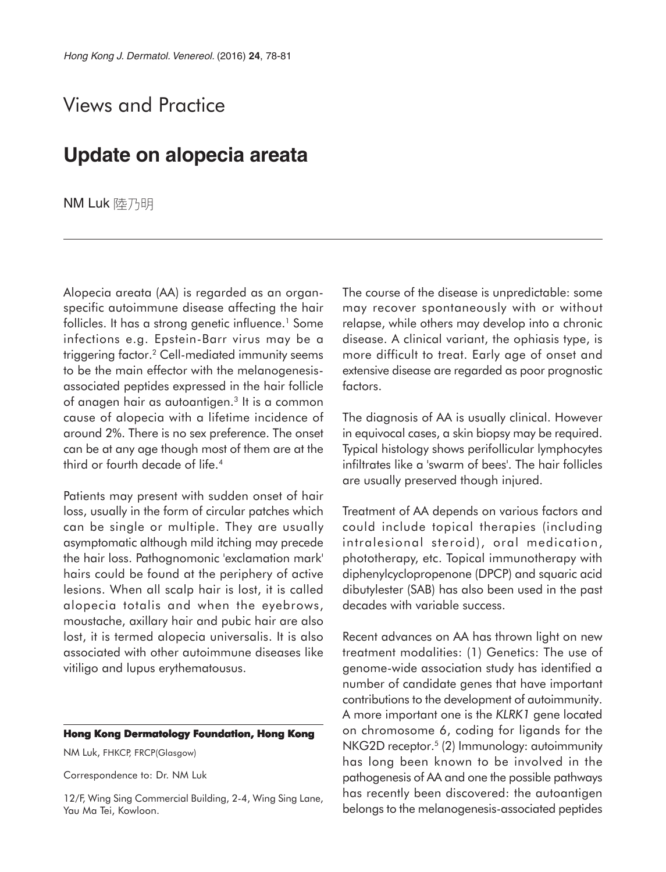## Views and Practice

## **Update on alopecia areata**

NM Luk 陸乃明

Alopecia areata (AA) is regarded as an organspecific autoimmune disease affecting the hair follicles. It has a strong genetic influence.<sup>1</sup> Some infections e.g. Epstein-Barr virus may be a triggering factor.2 Cell-mediated immunity seems to be the main effector with the melanogenesisassociated peptides expressed in the hair follicle of anagen hair as autoantigen.3 It is a common cause of alopecia with a lifetime incidence of around 2%. There is no sex preference. The onset can be at any age though most of them are at the third or fourth decade of life.<sup>4</sup>

Patients may present with sudden onset of hair loss, usually in the form of circular patches which can be single or multiple. They are usually asymptomatic although mild itching may precede the hair loss. Pathognomonic 'exclamation mark' hairs could be found at the periphery of active lesions. When all scalp hair is lost, it is called alopecia totalis and when the eyebrows, moustache, axillary hair and pubic hair are also lost, it is termed alopecia universalis. It is also associated with other autoimmune diseases like vitiligo and lupus erythematousus.

## **Hong Kong Dermatology Foundation, Hong Kong**

NM Luk, FHKCP, FRCP(Glasgow)

Correspondence to: Dr. NM Luk

12/F, Wing Sing Commercial Building, 2-4, Wing Sing Lane, Yau Ma Tei, Kowloon.

The course of the disease is unpredictable: some may recover spontaneously with or without relapse, while others may develop into a chronic disease. A clinical variant, the ophiasis type, is more difficult to treat. Early age of onset and extensive disease are regarded as poor prognostic factors.

The diagnosis of AA is usually clinical. However in equivocal cases, a skin biopsy may be required. Typical histology shows perifollicular lymphocytes infiltrates like a 'swarm of bees'. The hair follicles are usually preserved though injured.

Treatment of AA depends on various factors and could include topical therapies (including intralesional steroid), oral medication, phototherapy, etc. Topical immunotherapy with diphenylcyclopropenone (DPCP) and squaric acid dibutylester (SAB) has also been used in the past decades with variable success.

Recent advances on AA has thrown light on new treatment modalities: (1) Genetics: The use of genome-wide association study has identified a number of candidate genes that have important contributions to the development of autoimmunity. A more important one is the *KLRK1* gene located on chromosome 6, coding for ligands for the NKG2D receptor.<sup>5</sup> (2) Immunology: autoimmunity has long been known to be involved in the pathogenesis of AA and one the possible pathways has recently been discovered: the autoantigen belongs to the melanogenesis-associated peptides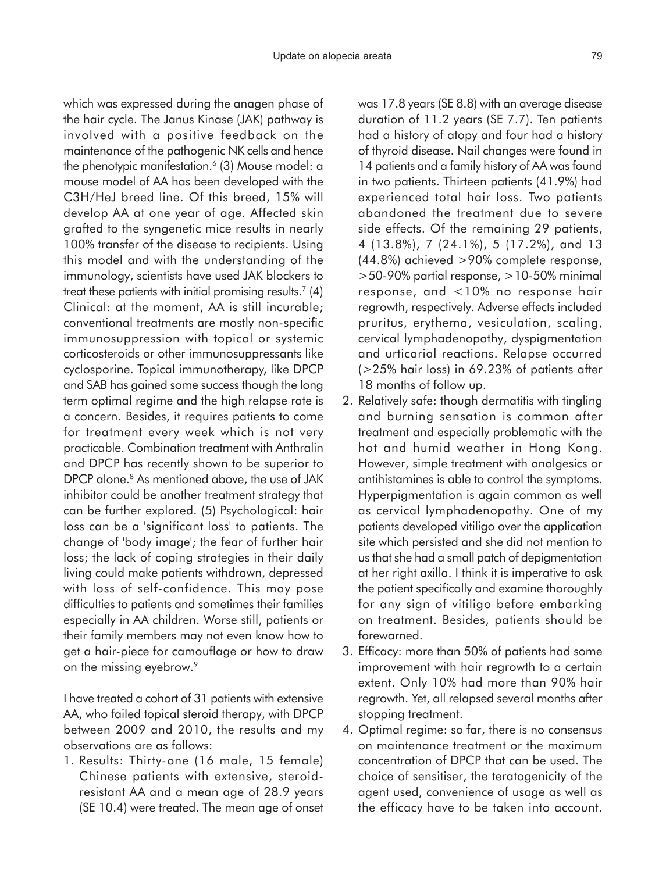which was expressed during the anagen phase of the hair cycle. The Janus Kinase (JAK) pathway is involved with a positive feedback on the maintenance of the pathogenic NK cells and hence the phenotypic manifestation.<sup>6</sup> (3) Mouse model: a mouse model of AA has been developed with the C3H/HeJ breed line. Of this breed, 15% will develop AA at one year of age. Affected skin grafted to the syngenetic mice results in nearly 100% transfer of the disease to recipients. Using this model and with the understanding of the immunology, scientists have used JAK blockers to treat these patients with initial promising results.<sup>7</sup> (4) Clinical: at the moment, AA is still incurable; conventional treatments are mostly non-specific immunosuppression with topical or systemic corticosteroids or other immunosuppressants like cyclosporine. Topical immunotherapy, like DPCP and SAB has gained some success though the long term optimal regime and the high relapse rate is a concern. Besides, it requires patients to come for treatment every week which is not very practicable. Combination treatment with Anthralin and DPCP has recently shown to be superior to DPCP alone.<sup>8</sup> As mentioned above, the use of JAK inhibitor could be another treatment strategy that can be further explored. (5) Psychological: hair loss can be a 'significant loss' to patients. The change of 'body image'; the fear of further hair loss; the lack of coping strategies in their daily living could make patients withdrawn, depressed with loss of self-confidence. This may pose difficulties to patients and sometimes their families especially in AA children. Worse still, patients or their family members may not even know how to get a hair-piece for camouflage or how to draw on the missing eyebrow.<sup>9</sup>

I have treated a cohort of 31 patients with extensive AA, who failed topical steroid therapy, with DPCP between 2009 and 2010, the results and my observations are as follows:

1. Results: Thirty-one (16 male, 15 female) Chinese patients with extensive, steroidresistant AA and a mean age of 28.9 years (SE 10.4) were treated. The mean age of onset was 17.8 years (SE 8.8) with an average disease duration of 11.2 years (SE 7.7). Ten patients had a history of atopy and four had a history of thyroid disease. Nail changes were found in 14 patients and a family history of AA was found in two patients. Thirteen patients (41.9%) had experienced total hair loss. Two patients abandoned the treatment due to severe side effects. Of the remaining 29 patients, 4 (13.8%), 7 (24.1%), 5 (17.2%), and 13 (44.8%) achieved >90% complete response, >50-90% partial response, >10-50% minimal response, and <10% no response hair regrowth, respectively. Adverse effects included pruritus, erythema, vesiculation, scaling, cervical lymphadenopathy, dyspigmentation and urticarial reactions. Relapse occurred (>25% hair loss) in 69.23% of patients after 18 months of follow up.

- 2. Relatively safe: though dermatitis with tingling and burning sensation is common after treatment and especially problematic with the hot and humid weather in Hong Kong. However, simple treatment with analgesics or antihistamines is able to control the symptoms. Hyperpigmentation is again common as well as cervical lymphadenopathy. One of my patients developed vitiligo over the application site which persisted and she did not mention to us that she had a small patch of depigmentation at her right axilla. I think it is imperative to ask the patient specifically and examine thoroughly for any sign of vitiligo before embarking on treatment. Besides, patients should be forewarned.
- 3. Efficacy: more than 50% of patients had some improvement with hair regrowth to a certain extent. Only 10% had more than 90% hair regrowth. Yet, all relapsed several months after stopping treatment.
- 4. Optimal regime: so far, there is no consensus on maintenance treatment or the maximum concentration of DPCP that can be used. The choice of sensitiser, the teratogenicity of the agent used, convenience of usage as well as the efficacy have to be taken into account.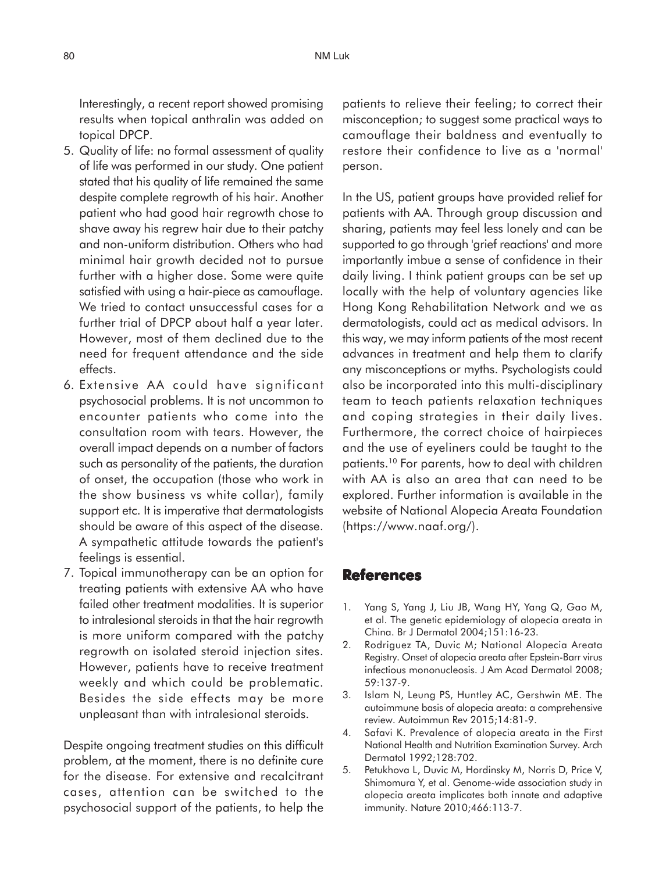Interestingly, a recent report showed promising results when topical anthralin was added on topical DPCP.

- 5. Quality of life: no formal assessment of quality of life was performed in our study. One patient stated that his quality of life remained the same despite complete regrowth of his hair. Another patient who had good hair regrowth chose to shave away his regrew hair due to their patchy and non-uniform distribution. Others who had minimal hair growth decided not to pursue further with a higher dose. Some were quite satisfied with using a hair-piece as camouflage. We tried to contact unsuccessful cases for a further trial of DPCP about half a year later. However, most of them declined due to the need for frequent attendance and the side effects.
- 6. Extensive AA could have significant psychosocial problems. It is not uncommon to encounter patients who come into the consultation room with tears. However, the overall impact depends on a number of factors such as personality of the patients, the duration of onset, the occupation (those who work in the show business vs white collar), family support etc. It is imperative that dermatologists should be aware of this aspect of the disease. A sympathetic attitude towards the patient's feelings is essential.
- 7. Topical immunotherapy can be an option for treating patients with extensive AA who have failed other treatment modalities. It is superior to intralesional steroids in that the hair regrowth is more uniform compared with the patchy regrowth on isolated steroid injection sites. However, patients have to receive treatment weekly and which could be problematic. Besides the side effects may be more unpleasant than with intralesional steroids.

Despite ongoing treatment studies on this difficult problem, at the moment, there is no definite cure for the disease. For extensive and recalcitrant cases, attention can be switched to the psychosocial support of the patients, to help the

patients to relieve their feeling; to correct their misconception; to suggest some practical ways to camouflage their baldness and eventually to restore their confidence to live as a 'normal' person.

In the US, patient groups have provided relief for patients with AA. Through group discussion and sharing, patients may feel less lonely and can be supported to go through 'grief reactions' and more importantly imbue a sense of confidence in their daily living. I think patient groups can be set up locally with the help of voluntary agencies like Hong Kong Rehabilitation Network and we as dermatologists, could act as medical advisors. In this way, we may inform patients of the most recent advances in treatment and help them to clarify any misconceptions or myths. Psychologists could also be incorporated into this multi-disciplinary team to teach patients relaxation techniques and coping strategies in their daily lives. Furthermore, the correct choice of hairpieces and the use of eyeliners could be taught to the patients.10 For parents, how to deal with children with AA is also an area that can need to be explored. Further information is available in the website of National Alopecia Areata Foundation (https://www.naaf.org/).

## **References**

- 1. Yang S, Yang J, Liu JB, Wang HY, Yang Q, Gao M, et al. The genetic epidemiology of alopecia areata in China. Br J Dermatol 2004;151:16-23.
- 2. Rodriguez TA, Duvic M; National Alopecia Areata Registry. Onset of alopecia areata after Epstein-Barr virus infectious mononucleosis. J Am Acad Dermatol 2008; 59:137-9.
- 3. Islam N, Leung PS, Huntley AC, Gershwin ME. The autoimmune basis of alopecia areata: a comprehensive review. Autoimmun Rev 2015;14:81-9.
- 4. Safavi K. Prevalence of alopecia areata in the First National Health and Nutrition Examination Survey. Arch Dermatol 1992;128:702.
- 5. Petukhova L, Duvic M, Hordinsky M, Norris D, Price V, Shimomura Y, et al. Genome-wide association study in alopecia areata implicates both innate and adaptive immunity. Nature 2010;466:113-7.